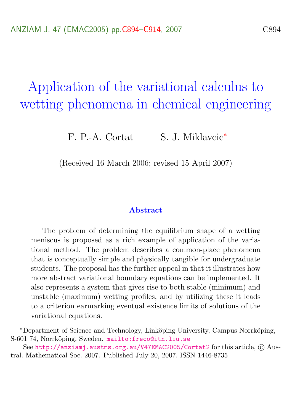# Application of the variational calculus to wetting phenomena in chemical engineering

F. P.-A. Cortat S. J. Miklavcic<sup>∗</sup>

(Received 16 March 2006; revised 15 April 2007)

#### Abstract

The problem of determining the equilibrium shape of a wetting meniscus is proposed as a rich example of application of the variational method. The problem describes a common-place phenomena that is conceptually simple and physically tangible for undergraduate students. The proposal has the further appeal in that it illustrates how more abstract variational boundary equations can be implemented. It also represents a system that gives rise to both stable (minimum) and unstable (maximum) wetting profiles, and by utilizing these it leads to a criterion earmarking eventual existence limits of solutions of the variational equations.

<sup>∗</sup>Department of Science and Technology, Link¨oping University, Campus Norrk¨oping, S-601 74, Norrköping, Sweden. <mailto:freco@itn.liu.se>

See <http://anziamj.austms.org.au/V47EMAC2005/Cortat2> for this article,  $\odot$  Austral. Mathematical Soc. 2007. Published July 20, 2007. ISSN 1446-8735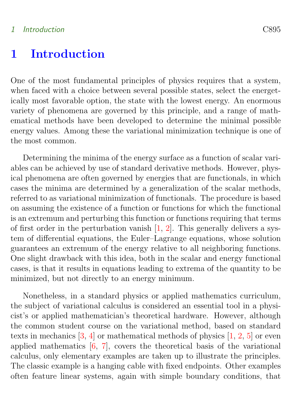### <span id="page-1-0"></span>1 Introduction C895

### 1 Introduction

One of the most fundamental principles of physics requires that a system, when faced with a choice between several possible states, select the energetically most favorable option, the state with the lowest energy. An enormous variety of phenomena are governed by this principle, and a range of mathematical methods have been developed to determine the minimal possible energy values. Among these the variational minimization technique is one of the most common.

Determining the minima of the energy surface as a function of scalar variables can be achieved by use of standard derivative methods. However, physical phenomena are often governed by energies that are functionals, in which cases the minima are determined by a generalization of the scalar methods, referred to as variational minimization of functionals. The procedure is based on assuming the existence of a function or functions for which the functional is an extremum and perturbing this function or functions requiring that terms of first order in the perturbation vanish  $[1, 2]$  $[1, 2]$  $[1, 2]$ . This generally delivers a system of differential equations, the Euler–Lagrange equations, whose solution guarantees an extremum of the energy relative to all neighboring functions. One slight drawback with this idea, both in the scalar and energy functional cases, is that it results in equations leading to extrema of the quantity to be minimized, but not directly to an energy minimum.

Nonetheless, in a standard physics or applied mathematics curriculum, the subject of variational calculus is considered an essential tool in a physicist's or applied mathematician's theoretical hardware. However, although the common student course on the variational method, based on standard texts in mechanics  $[3, 4]$  $[3, 4]$  $[3, 4]$  or mathematical methods of physics  $[1, 2, 5]$  $[1, 2, 5]$  $[1, 2, 5]$  $[1, 2, 5]$  $[1, 2, 5]$  or even applied mathematics [\[6,](#page-20-3) [7\]](#page-20-4), covers the theoretical basis of the variational calculus, only elementary examples are taken up to illustrate the principles. The classic example is a hanging cable with fixed endpoints. Other examples often feature linear systems, again with simple boundary conditions, that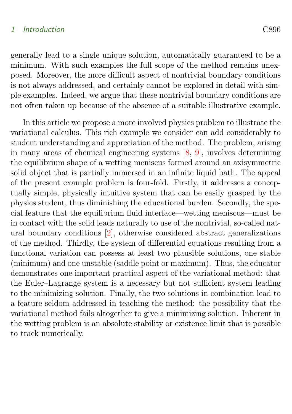#### <span id="page-2-0"></span>1 Introduction C896

generally lead to a single unique solution, automatically guaranteed to be a minimum. With such examples the full scope of the method remains unexposed. Moreover, the more difficult aspect of nontrivial boundary conditions is not always addressed, and certainly cannot be explored in detail with simple examples. Indeed, we argue that these nontrivial boundary conditions are not often taken up because of the absence of a suitable illustrative example.

In this article we propose a more involved physics problem to illustrate the variational calculus. This rich example we consider can add considerably to student understanding and appreciation of the method. The problem, arising in many areas of chemical engineering systems [\[8,](#page-20-5) [9\]](#page-20-6), involves determining the equilibrium shape of a wetting meniscus formed around an axisymmetric solid object that is partially immersed in an infinite liquid bath. The appeal of the present example problem is four-fold. Firstly, it addresses a conceptually simple, physically intuitive system that can be easily grasped by the physics student, thus diminishing the educational burden. Secondly, the special feature that the equilibrium fluid interface—wetting meniscus—must be in contact with the solid leads naturally to use of the nontrivial, so-called natural boundary conditions [\[2\]](#page-19-2), otherwise considered abstract generalizations of the method. Thirdly, the system of differential equations resulting from a functional variation can possess at least two plausible solutions, one stable (minimum) and one unstable (saddle point or maximum). Thus, the educator demonstrates one important practical aspect of the variational method: that the Euler–Lagrange system is a necessary but not sufficient system leading to the minimizing solution. Finally, the two solutions in combination lead to a feature seldom addressed in teaching the method: the possibility that the variational method fails altogether to give a minimizing solution. Inherent in the wetting problem is an absolute stability or existence limit that is possible to track numerically.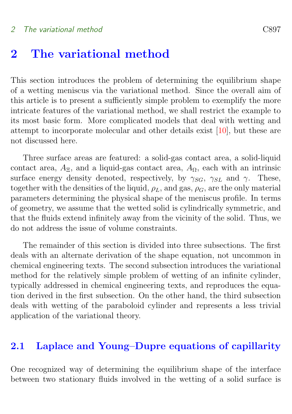<span id="page-3-0"></span>This section introduces the problem of determining the equilibrium shape of a wetting meniscus via the variational method. Since the overall aim of this article is to present a sufficiently simple problem to exemplify the more intricate features of the variational method, we shall restrict the example to its most basic form. More complicated models that deal with wetting and attempt to incorporate molecular and other details exist [\[10\]](#page-20-7), but these are not discussed here.

Three surface areas are featured: a solid-gas contact area, a solid-liquid contact area,  $A_{\Xi}$ , and a liquid-gas contact area,  $A_{\Omega}$ , each with an intrinsic surface energy density denoted, respectively, by  $\gamma_{SG}$ ,  $\gamma_{SL}$  and  $\gamma$ . These, together with the densities of the liquid,  $\rho_L$ , and gas,  $\rho_G$ , are the only material parameters determining the physical shape of the meniscus profile. In terms of geometry, we assume that the wetted solid is cylindrically symmetric, and that the fluids extend infinitely away from the vicinity of the solid. Thus, we do not address the issue of volume constraints.

The remainder of this section is divided into three subsections. The first deals with an alternate derivation of the shape equation, not uncommon in chemical engineering texts. The second subsection introduces the variational method for the relatively simple problem of wetting of an infinite cylinder, typically addressed in chemical engineering texts, and reproduces the equation derived in the first subsection. On the other hand, the third subsection deals with wetting of the paraboloid cylinder and represents a less trivial application of the variational theory.

### 2.1 Laplace and Young–Dupre equations of capillarity

One recognized way of determining the equilibrium shape of the interface between two stationary fluids involved in the wetting of a solid surface is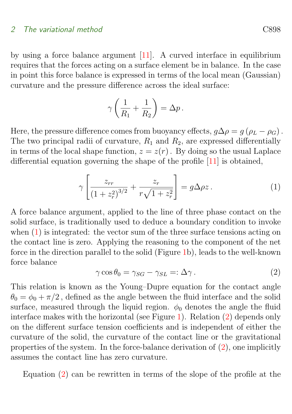<span id="page-4-2"></span>by using a force balance argument [\[11\]](#page-20-8). A curved interface in equilibrium requires that the forces acting on a surface element be in balance. In the case in point this force balance is expressed in terms of the local mean (Gaussian) curvature and the pressure difference across the ideal surface:

$$
\gamma\left(\frac{1}{R_1} + \frac{1}{R_2}\right) = \Delta p.
$$

Here, the pressure difference comes from buoyancy effects,  $g\Delta \rho = g(\rho_L - \rho_G)$ . The two principal radii of curvature,  $R_1$  and  $R_2$ , are expressed differentially in terms of the local shape function,  $z = z(r)$ . By doing so the usual Laplace differential equation governing the shape of the profile [\[11\]](#page-20-8) is obtained,

<span id="page-4-0"></span>
$$
\gamma \left[ \frac{z_{rr}}{\left(1+z_r^2\right)^{3/2}} + \frac{z_r}{r\sqrt{1+z_r^2}} \right] = g\Delta \rho z. \tag{1}
$$

A force balance argument, applied to the line of three phase contact on the solid surface, is traditionally used to deduce a boundary condition to invoke when  $(1)$  is integrated: the vector sum of the three surface tensions acting on the contact line is zero. Applying the reasoning to the component of the net force in the direction parallel to the solid (Figure [1b](#page-5-0)), leads to the well-known force balance

<span id="page-4-1"></span>
$$
\gamma \cos \theta_0 = \gamma_{SG} - \gamma_{SL} =: \Delta \gamma \,. \tag{2}
$$

This relation is known as the Young–Dupre equation for the contact angle  $\theta_0 = \phi_0 + \pi/2$ , defined as the angle between the fluid interface and the solid surface, measured through the liquid region.  $\phi_0$  denotes the angle the fluid interface makes with the horizontal (see Figure [1\)](#page-5-0). Relation [\(2\)](#page-4-1) depends only on the different surface tension coefficients and is independent of either the curvature of the solid, the curvature of the contact line or the gravitational properties of the system. In the force-balance derivation of [\(2\)](#page-4-1), one implicitly assumes the contact line has zero curvature.

Equation [\(2\)](#page-4-1) can be rewritten in terms of the slope of the profile at the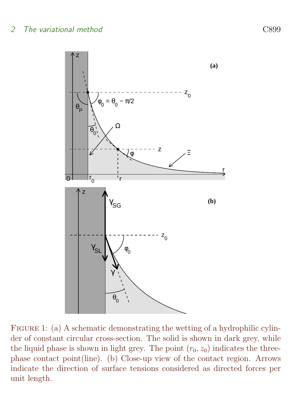

<span id="page-5-0"></span>FIGURE 1: (a) A schematic demonstrating the wetting of a hydrophilic cylinder of constant circular cross-section. The solid is shown in dark grey, while the liquid phase is shown in light grey. The point  $(r_0, z_0)$  indicates the threephase contact point(line). (b) Close-up view of the contact region. Arrows indicate the direction of surface tensions considered as directed forces per unit length.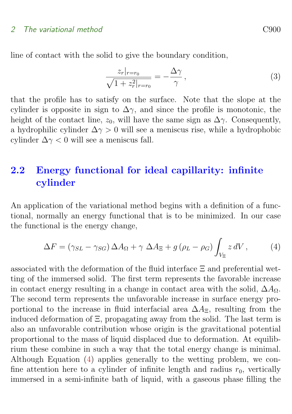line of contact with the solid to give the boundary condition,

<span id="page-6-1"></span>
$$
\frac{z_r|_{r=r_0}}{\sqrt{1+z_r^2|_{r=r_0}}} = -\frac{\Delta\gamma}{\gamma},\qquad(3)
$$

that the profile has to satisfy on the surface. Note that the slope at the cylinder is opposite in sign to  $\Delta \gamma$ , and since the profile is monotonic, the height of the contact line,  $z_0$ , will have the same sign as  $\Delta \gamma$ . Consequently, a hydrophilic cylinder  $\Delta \gamma > 0$  will see a meniscus rise, while a hydrophobic cylinder  $\Delta \gamma < 0$  will see a meniscus fall.

### <span id="page-6-2"></span>2.2 Energy functional for ideal capillarity: infinite cylinder

An application of the variational method begins with a definition of a functional, normally an energy functional that is to be minimized. In our case the functional is the energy change,

<span id="page-6-0"></span>
$$
\Delta F = (\gamma_{SL} - \gamma_{SG}) \Delta A_{\Omega} + \gamma \Delta A_{\Xi} + g (\rho_L - \rho_G) \int_{V_{\Xi}} z \, dV , \qquad (4)
$$

associated with the deformation of the fluid interface Ξ and preferential wetting of the immersed solid. The first term represents the favorable increase in contact energy resulting in a change in contact area with the solid,  $\Delta A_{\Omega}$ . The second term represents the unfavorable increase in surface energy proportional to the increase in fluid interfacial area  $\Delta A_{\Xi}$ , resulting from the induced deformation of Ξ, propagating away from the solid. The last term is also an unfavorable contribution whose origin is the gravitational potential proportional to the mass of liquid displaced due to deformation. At equilibrium these combine in such a way that the total energy change is minimal. Although Equation [\(4\)](#page-6-0) applies generally to the wetting problem, we confine attention here to a cylinder of infinite length and radius  $r_0$ , vertically immersed in a semi-infinite bath of liquid, with a gaseous phase filling the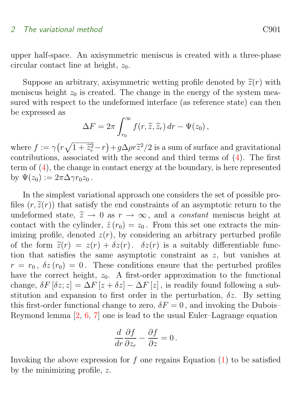<span id="page-7-0"></span>upper half-space. An axisymmetric meniscus is created with a three-phase circular contact line at height,  $z_0$ .

Suppose an arbitrary, axisymmetric wetting profile denoted by  $\tilde{z}(r)$  with meniscus height  $z_0$  is created. The change in the energy of the system measured with respect to the undeformed interface (as reference state) can then be expressed as

$$
\Delta F = 2\pi \int_{r_0}^{\infty} f(r, \widetilde{z}, \widetilde{z}_r) dr - \Psi(z_0),
$$

where  $f := \gamma (r \sqrt{1 + \tilde{z}_r^2} - r) + g \Delta \rho r \tilde{z}^2 / 2$  is a sum of surface and gravitational<br>contributions, associated with the second and third terms of (4). The first contributions, associated with the second and third terms of [\(4\)](#page-6-0). The first term of [\(4\)](#page-6-0), the change in contact energy at the boundary, is here represented by  $\Psi(z_0) := 2\pi \Delta \gamma r_0 z_0$ .

In the simplest variational approach one considers the set of possible profiles  $(r, \tilde{\chi}(r))$  that satisfy the end constraints of an asymptotic return to the undeformed state,  $\tilde{z} \to 0$  as  $r \to \infty$ , and a *constant* meniscus height at contact with the cylinder,  $\tilde{z}(r_0) = z_0$ . From this set one extracts the minimizing profile, denoted  $z(r)$ , by considering an arbitrary perturbed profile of the form  $\tilde{z}(r) = z(r) + \delta z(r)$ .  $\delta z(r)$  is a suitably differentiable function that satisfies the same asymptotic constraint as z, but vanishes at  $r = r_0$ ,  $\delta z(r_0) = 0$ . These conditions ensure that the perturbed profiles have the correct height,  $z_0$ . A first-order approximation to the functional change,  $\delta F[\delta z; z] = \Delta F[z + \delta z] - \Delta F[z]$ , is readily found following a substitution and expansion to first order in the perturbation,  $\delta z$ . By setting this first-order functional change to zero,  $\delta F = 0$ , and invoking the Dubois– Reymond lemma [\[2,](#page-19-2) [6,](#page-20-3) [7\]](#page-20-4) one is lead to the usual Euler–Lagrange equation

$$
\frac{d}{dr}\frac{\partial f}{\partial z_r} - \frac{\partial f}{\partial z} = 0.
$$

Invoking the above expression for f one regains Equation  $(1)$  to be satisfied by the minimizing profile, z.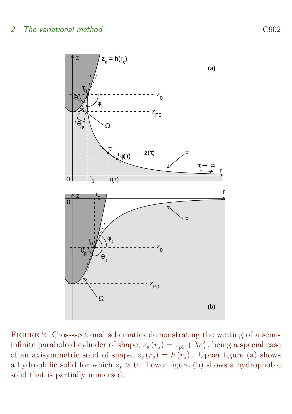

<span id="page-8-0"></span>FIGURE 2: Cross-sectional schematics demonstrating the wetting of a semiinfinite paraboloid cylinder of shape,  $z_s(r_s) = z_{p0} + \lambda r_s^2$ , being a special case of an axisymmetric solid of shape,  $z_s(r_s) = h(r_s)$ . Upper figure (a) shows a hydrophilic solid for which  $z_s > 0$ . Lower figure (b) shows a hydrophobic solid that is partially immersed.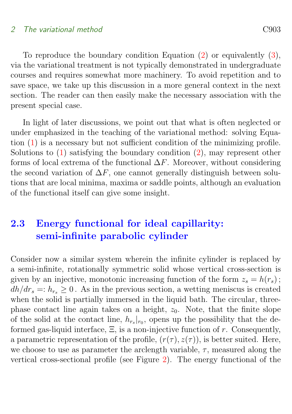To reproduce the boundary condition Equation [\(2\)](#page-4-1) or equivalently [\(3\)](#page-6-1), via the variational treatment is not typically demonstrated in undergraduate courses and requires somewhat more machinery. To avoid repetition and to save space, we take up this discussion in a more general context in the next section. The reader can then easily make the necessary association with the present special case.

In light of later discussions, we point out that what is often neglected or under emphasized in the teaching of the variational method: solving Equation [\(1\)](#page-4-0) is a necessary but not sufficient condition of the minimizing profile. Solutions to  $(1)$  satisfying the boundary condition  $(2)$ , may represent other forms of local extrema of the functional  $\Delta F$ . Moreover, without considering the second variation of  $\Delta F$ , one cannot generally distinguish between solutions that are local minima, maxima or saddle points, although an evaluation of the functional itself can give some insight.

### 2.3 Energy functional for ideal capillarity: semi-infinite parabolic cylinder

Consider now a similar system wherein the infinite cylinder is replaced by a semi-infinite, rotationally symmetric solid whose vertical cross-section is given by an injective, monotonic increasing function of the form  $z_s = h(r_s)$ ;  $dh/dr_s =: h_{rs} \geq 0$ . As in the previous section, a wetting meniscus is created when the solid is partially immersed in the liquid bath. The circular, threephase contact line again takes on a height,  $z_0$ . Note, that the finite slope of the solid at the contact line,  $h_{r_s}|_{r_0}$ , opens up the possibility that the deformed gas-liquid interface,  $\Xi$ , is a non-injective function of r. Consequently, a parametric representation of the profile,  $(r(\tau), z(\tau))$ , is better suited. Here, we choose to use as parameter the arclength variable,  $\tau$ , measured along the vertical cross-sectional profile (see Figure [2\)](#page-8-0). The energy functional of the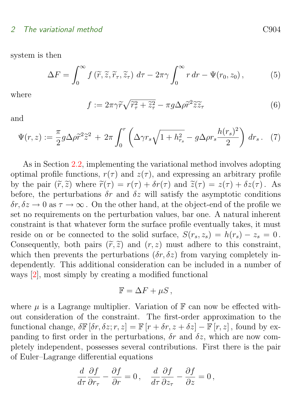<span id="page-10-2"></span>system is then

<span id="page-10-1"></span>
$$
\Delta F = \int_0^\infty f\left(\widetilde{r}, \widetilde{z}, \widetilde{r}_\tau, \widetilde{z}_\tau\right) d\tau - 2\pi \gamma \int_0^\infty r dr - \Psi(r_0, z_0), \tag{5}
$$

where

<span id="page-10-0"></span>
$$
f := 2\pi\gamma\widetilde{r}\sqrt{\widetilde{r}_{\tau}^2 + \widetilde{z}_{\tau}^2} - \pi g \Delta\rho \widetilde{r}^2 \widetilde{z}\widetilde{z}_{\tau}
$$
 (6)

and

$$
\Psi(r,z) := \frac{\pi}{2} g \Delta \rho \tilde{r}^2 \tilde{z}^2 + 2\pi \int_0^r \left( \Delta \gamma r_s \sqrt{1 + h_{r_s}^2} - g \Delta \rho r_s \frac{h(r_s)^2}{2} \right) dr_s. \tag{7}
$$

As in Section [2.2,](#page-6-2) implementing the variational method involves adopting optimal profile functions,  $r(\tau)$  and  $z(\tau)$ , and expressing an arbitrary profile by the pair  $(\tilde{r}, \tilde{z})$  where  $\tilde{r}(\tau) = r(\tau) + \delta r(\tau)$  and  $\tilde{z}(\tau) = z(\tau) + \delta z(\tau)$ . As before, the perturbations  $\delta r$  and  $\delta z$  will satisfy the asymptotic conditions  $\delta r, \delta z \to 0$  as  $\tau \to \infty$ . On the other hand, at the object-end of the profile we set no requirements on the perturbation values, bar one. A natural inherent constraint is that whatever form the surface profile eventually takes, it must reside on or be connected to the solid surface,  $S(r_s, z_s) = h(r_s) - z_s = 0$ . Consequently, both pairs  $(\widetilde{r}, \widetilde{z})$  and  $(r, z)$  must adhere to this constraint, which then prevents the perturbations  $(\delta r, \delta z)$  from varying completely independently. This additional consideration can be included in a number of ways [\[2\]](#page-19-2), most simply by creating a modified functional

$$
\mathbb{F} = \Delta F + \mu S \,,
$$

where  $\mu$  is a Lagrange multiplier. Variation of  $\mathbb F$  can now be effected without consideration of the constraint. The first-order approximation to the functional change,  $\delta \mathbb{F} [\delta r, \delta z; r, z] = \mathbb{F} [r + \delta r, z + \delta z] - \mathbb{F} [r, z]$ , found by expanding to first order in the perturbations,  $\delta r$  and  $\delta z$ , which are now completely independent, possesses several contributions. First there is the pair of Euler–Lagrange differential equations

$$
\frac{d}{d\tau}\frac{\partial f}{\partial r_{\tau}} - \frac{\partial f}{\partial r} = 0, \quad \frac{d}{d\tau}\frac{\partial f}{\partial z_{\tau}} - \frac{\partial f}{\partial z} = 0,
$$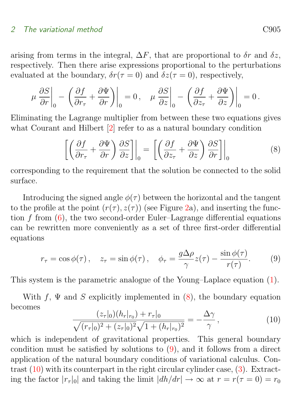<span id="page-11-3"></span>arising from terms in the integral,  $\Delta F$ , that are proportional to  $\delta r$  and  $\delta z$ , respectively. Then there arise expressions proportional to the perturbations evaluated at the boundary,  $\delta r(\tau = 0)$  and  $\delta z(\tau = 0)$ , respectively,

$$
\mu \left. \frac{\partial S}{\partial r} \right|_0 - \left( \frac{\partial f}{\partial r_\tau} + \frac{\partial \Psi}{\partial r} \right) \bigg|_0 = 0 \,, \quad \mu \left. \frac{\partial S}{\partial z} \right|_0 - \left( \frac{\partial f}{\partial z_\tau} + \frac{\partial \Psi}{\partial z} \right) \bigg|_0 = 0 \,.
$$

Eliminating the Lagrange multiplier from between these two equations gives what Courant and Hilbert  $[2]$  refer to as a natural boundary condition

<span id="page-11-0"></span>
$$
\left[ \left( \frac{\partial f}{\partial r_{\tau}} + \frac{\partial \Psi}{\partial r} \right) \frac{\partial S}{\partial z} \right] \Big|_{0} = \left[ \left( \frac{\partial f}{\partial z_{\tau}} + \frac{\partial \Psi}{\partial z} \right) \frac{\partial S}{\partial r} \right] \Big|_{0} \tag{8}
$$

corresponding to the requirement that the solution be connected to the solid surface.

Introducing the signed angle  $\phi(\tau)$  between the horizontal and the tangent to the profile at the point  $(r(\tau), z(\tau))$  (see Figure [2a](#page-8-0)), and inserting the function  $f$  from  $(6)$ , the two second-order Euler–Lagrange differential equations can be rewritten more conveniently as a set of three first-order differential equations

<span id="page-11-1"></span>
$$
r_{\tau} = \cos \phi(\tau), \quad z_{\tau} = \sin \phi(\tau), \quad \phi_{\tau} = \frac{g \Delta \rho}{\gamma} z(\tau) - \frac{\sin \phi(\tau)}{r(\tau)}.
$$
 (9)

This system is the parametric analogue of the Young–Laplace equation [\(1\)](#page-4-0).

With f,  $\Psi$  and S explicitly implemented in [\(8\)](#page-11-0), the boundary equation becomes

<span id="page-11-2"></span>
$$
\frac{(z_{\tau}|_{0})(h_{r}|_{r_{0}}) + r_{\tau}|_{0}}{\sqrt{(r_{\tau}|_{0})^{2} + (z_{\tau}|_{0})^{2}}\sqrt{1 + (h_{r}|_{r_{0}})^{2}}} = -\frac{\Delta\gamma}{\gamma},
$$
\n(10)

which is independent of gravitational properties. This general boundary condition must be satisfied by solutions to [\(9\)](#page-11-1), and it follows from a direct application of the natural boundary conditions of variational calculus. Contrast [\(10\)](#page-11-2) with its counterpart in the right circular cylinder case, [\(3\)](#page-6-1). Extracting the factor  $|r_{\tau}|_0|$  and taking the limit  $|dh/dr| \to \infty$  at  $r = r(\tau = 0) = r_0$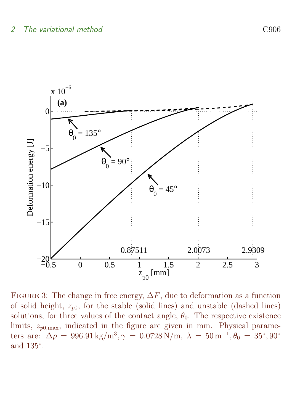

<span id="page-12-0"></span>FIGURE 3: The change in free energy,  $\Delta F$ , due to deformation as a function of solid height,  $z_{p0}$ , for the stable (solid lines) and unstable (dashed lines) solutions, for three values of the contact angle,  $\theta_0$ . The respective existence limits,  $z_{p0,\text{max}}$ , indicated in the figure are given in mm. Physical parameters are:  $\Delta \rho = 996.91 \text{ kg/m}^3, \gamma = 0.0728 \text{ N/m}, \lambda = 50 \text{ m}^{-1}, \theta_0 = 35^{\circ}, 90^{\circ}$ and 135◦ .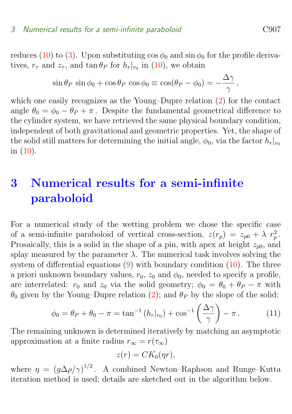reduces [\(10\)](#page-11-2) to [\(3\)](#page-6-1). Upon substituting  $\cos \phi_0$  and  $\sin \phi_0$  for the profile derivatives,  $r_{\tau}$  and  $z_{\tau}$ , and  $\tan \theta_P$  for  $h_r|_{r_0}$  in [\(10\)](#page-11-2), we obtain

$$
\sin \theta_P \, \sin \phi_0 + \cos \theta_P \, \cos \phi_0 \equiv \cos(\theta_P - \phi_0) = -\frac{\Delta \gamma}{\gamma},
$$

which one easily recognizes as the Young–Dupre relation [\(2\)](#page-4-1) for the contact angle  $\theta_0 = \phi_0 - \theta_P + \pi$ . Despite the fundamental geometrical difference to the cylinder system, we have retrieved the same physical boundary condition, independent of both gravitational and geometric properties. Yet, the shape of the solid still matters for determining the initial angle,  $\phi_0$ , via the factor  $h_r|_{r_0}$ in [\(10\)](#page-11-2).

## 3 Numerical results for a semi-infinite paraboloid

For a numerical study of the wetting problem we chose the specific case of a semi-infinite paraboloid of vertical cross-section,  $z(r_p) = z_{p0} + \lambda r_p^2$ . Prosaically, this is a solid in the shape of a pin, with apex at height  $z_{p0}$ , and splay measured by the parameter  $\lambda$ . The numerical task involves solving the system of differential equations  $(9)$  with boundary condition  $(10)$ . The three a priori unknown boundary values,  $r_0$ ,  $z_0$  and  $\phi_0$ , needed to specify a profile, are interrelated:  $r_0$  and  $z_0$  via the solid geometry;  $\phi_0 = \theta_0 + \theta_P - \pi$  with  $\theta_0$  given by the Young–Dupre relation [\(2\)](#page-4-1); and  $\theta_P$  by the slope of the solid:

$$
\phi_0 = \theta_P + \theta_0 - \pi = \tan^{-1}(h_r|_{r_0}) + \cos^{-1}\left(\frac{\Delta\gamma}{\gamma}\right) - \pi. \tag{11}
$$

The remaining unknown is determined iteratively by matching an asymptotic approximation at a finite radius  $r_{\infty} = r(\tau_{\infty})$ 

$$
z(r) = CK_0(\eta r),
$$

where  $\eta = (g\Delta\rho/\gamma)^{1/2}$ . A combined Newton–Raphson and Runge–Kutta iteration method is used; details are sketched out in the algorithm below.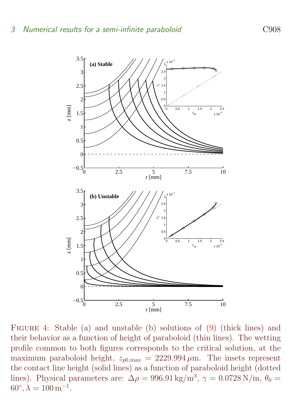

<span id="page-14-0"></span>Figure 4: Stable (a) and unstable (b) solutions of [\(9\)](#page-11-1) (thick lines) and their behavior as a function of height of paraboloid (thin lines). The wetting profile common to both figures corresponds to the critical solution, at the maximum paraboloid height,  $z_{p0,\text{max}} = 2229.994 \,\mu\text{m}$ . The insets represent the contact line height (solid lines) as a function of paraboloid height (dotted lines). Physical parameters are:  $\Delta \rho = 996.91 \text{ kg/m}^3$ ,  $\gamma = 0.0728 \text{ N/m}$ ,  $\theta_0 =$  $60^{\circ}, \lambda = 100 \,\mathrm{m}^{-1}.$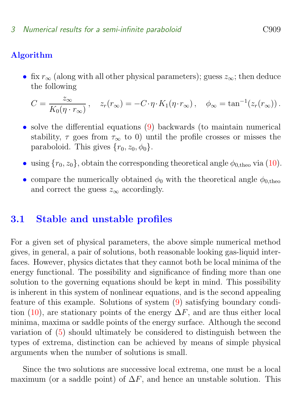### Algorithm

• fix  $r_{\infty}$  (along with all other physical parameters); guess  $z_{\infty}$ ; then deduce the following

$$
C = \frac{z_{\infty}}{K_0(\eta \cdot r_{\infty})}, \quad z_r(r_{\infty}) = -C \cdot \eta \cdot K_1(\eta \cdot r_{\infty}), \quad \phi_{\infty} = \tan^{-1}(z_r(r_{\infty})).
$$

- solve the differential equations [\(9\)](#page-11-1) backwards (to maintain numerical stability,  $\tau$  goes from  $\tau_{\infty}$  to 0) until the profile crosses or misses the paraboloid. This gives  $\{r_0, z_0, \phi_0\}.$
- using  $\{r_0, z_0\}$ , obtain the corresponding theoretical angle  $\phi_{0,\text{theo}}$  via [\(10\)](#page-11-2).
- compare the numerically obtained  $\phi_0$  with the theoretical angle  $\phi_0$  theoretical and correct the guess  $z_{\infty}$  accordingly.

### 3.1 Stable and unstable profiles

For a given set of physical parameters, the above simple numerical method gives, in general, a pair of solutions, both reasonable looking gas-liquid interfaces. However, physics dictates that they cannot both be local minima of the energy functional. The possibility and significance of finding more than one solution to the governing equations should be kept in mind. This possibility is inherent in this system of nonlinear equations, and is the second appealing feature of this example. Solutions of system [\(9\)](#page-11-1) satisfying boundary condi-tion [\(10\)](#page-11-2), are stationary points of the energy  $\Delta F$ , and are thus either local minima, maxima or saddle points of the energy surface. Although the second variation of [\(5\)](#page-10-1) should ultimately be considered to distinguish between the types of extrema, distinction can be achieved by means of simple physical arguments when the number of solutions is small.

Since the two solutions are successive local extrema, one must be a local maximum (or a saddle point) of  $\Delta F$ , and hence an unstable solution. This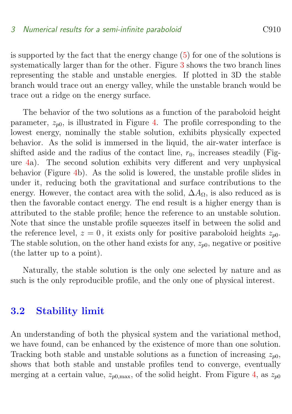is supported by the fact that the energy change [\(5\)](#page-10-1) for one of the solutions is systematically larger than for the other. Figure [3](#page-12-0) shows the two branch lines representing the stable and unstable energies. If plotted in 3D the stable branch would trace out an energy valley, while the unstable branch would be trace out a ridge on the energy surface.

The behavior of the two solutions as a function of the paraboloid height parameter,  $z_{n0}$ , is illustrated in Figure [4.](#page-14-0) The profile corresponding to the lowest energy, nominally the stable solution, exhibits physically expected behavior. As the solid is immersed in the liquid, the air-water interface is shifted aside and the radius of the contact line,  $r_0$ , increases steadily (Figure [4a](#page-14-0)). The second solution exhibits very different and very unphysical behavior (Figure [4b](#page-14-0)). As the solid is lowered, the unstable profile slides in under it, reducing both the gravitational and surface contributions to the energy. However, the contact area with the solid,  $\Delta A_{\Omega}$ , is also reduced as is then the favorable contact energy. The end result is a higher energy than is attributed to the stable profile; hence the reference to an unstable solution. Note that since the unstable profile squeezes itself in between the solid and the reference level,  $z = 0$ , it exists only for positive paraboloid heights  $z_{n0}$ . The stable solution, on the other hand exists for any,  $z_{n0}$ , negative or positive (the latter up to a point).

Naturally, the stable solution is the only one selected by nature and as such is the only reproducible profile, and the only one of physical interest.

### 3.2 Stability limit

An understanding of both the physical system and the variational method, we have found, can be enhanced by the existence of more than one solution. Tracking both stable and unstable solutions as a function of increasing  $z_{p0}$ , shows that both stable and unstable profiles tend to converge, eventually merging at a certain value,  $z_{p0,\text{max}}$ , of the solid height. From Figure [4,](#page-14-0) as  $z_{p0}$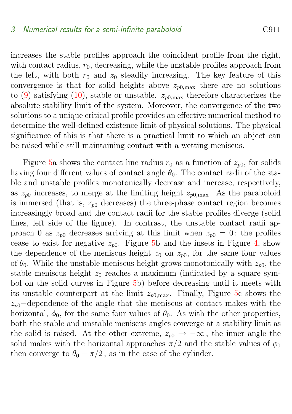increases the stable profiles approach the coincident profile from the right, with contact radius,  $r_0$ , decreasing, while the unstable profiles approach from the left, with both  $r_0$  and  $z_0$  steadily increasing. The key feature of this convergence is that for solid heights above  $z_{p0,\text{max}}$  there are no solutions to [\(9\)](#page-11-1) satisfying [\(10\)](#page-11-2), stable or unstable.  $z_{n0,\text{max}}$  therefore characterizes the absolute stability limit of the system. Moreover, the convergence of the two solutions to a unique critical profile provides an effective numerical method to determine the well-defined existence limit of physical solutions. The physical significance of this is that there is a practical limit to which an object can be raised while still maintaining contact with a wetting meniscus.

Figure [5a](#page-18-0) shows the contact line radius  $r_0$  as a function of  $z_{p0}$ , for solids having four different values of contact angle  $\theta_0$ . The contact radii of the stable and unstable profiles monotonically decrease and increase, respectively, as  $z_{p0}$  increases, to merge at the limiting height  $z_{p0,\text{max}}$ . As the paraboloid is immersed (that is,  $z_{p0}$  decreases) the three-phase contact region becomes increasingly broad and the contact radii for the stable profiles diverge (solid lines, left side of the figure). In contrast, the unstable contact radii approach 0 as  $z_{p0}$  decreases arriving at this limit when  $z_{p0} = 0$ ; the profiles cease to exist for negative  $z_{p0}$ . Figure [5b](#page-18-0) and the insets in Figure [4,](#page-14-0) show the dependence of the meniscus height  $z_0$  on  $z_{n0}$ , for the same four values of  $\theta_0$ . While the unstable meniscus height grows monotonically with  $z_{p0}$ , the stable meniscus height  $z_0$  reaches a maximum (indicated by a square symbol on the solid curves in Figure [5b](#page-18-0)) before decreasing until it meets with its unstable counterpart at the limit  $z_{p0,\text{max}}$ . Finally, Figure [5c](#page-18-0) shows the  $z_{p0}$ –dependence of the angle that the meniscus at contact makes with the horizontal,  $\phi_0$ , for the same four values of  $\theta_0$ . As with the other properties, both the stable and unstable meniscus angles converge at a stability limit as the solid is raised. At the other extreme,  $z_{p0} \rightarrow -\infty$ , the inner angle the solid makes with the horizontal approaches  $\pi/2$  and the stable values of  $\phi_0$ then converge to  $\theta_0 - \pi/2$ , as in the case of the cylinder.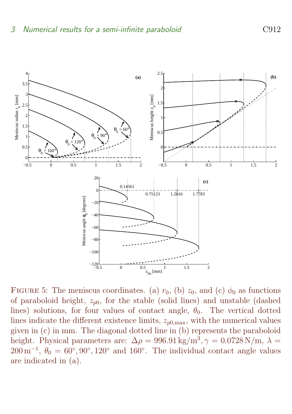

<span id="page-18-0"></span>FIGURE 5: The meniscus coordinates. (a)  $r_0$ , (b)  $z_0$ , and (c)  $\phi_0$  as functions of paraboloid height,  $z_{p0}$ , for the stable (solid lines) and unstable (dashed lines) solutions, for four values of contact angle,  $\theta_0$ . The vertical dotted lines indicate the different existence limits,  $z_{p0,\text{max}}$ , with the numerical values given in (c) in mm. The diagonal dotted line in (b) represents the paraboloid height. Physical parameters are:  $\Delta \rho = 996.91 \text{ kg/m}^3$ ,  $\gamma = 0.0728 \text{ N/m}$ ,  $\lambda =$  $200 \,\mathrm{m}^{-1}$ ,  $\theta_0 = 60^\circ, 90^\circ, 120^\circ$  and 160°. The individual contact angle values are indicated in (a).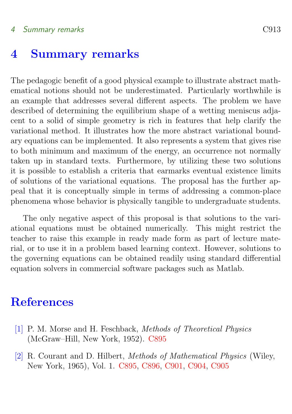### 4 Summary remarks C913

### 4 Summary remarks

The pedagogic benefit of a good physical example to illustrate abstract mathematical notions should not be underestimated. Particularly worthwhile is an example that addresses several different aspects. The problem we have described of determining the equilibrium shape of a wetting meniscus adjacent to a solid of simple geometry is rich in features that help clarify the variational method. It illustrates how the more abstract variational boundary equations can be implemented. It also represents a system that gives rise to both minimum and maximum of the energy, an occurrence not normally taken up in standard texts. Furthermore, by utilizing these two solutions it is possible to establish a criteria that earmarks eventual existence limits of solutions of the variational equations. The proposal has the further appeal that it is conceptually simple in terms of addressing a common-place phenomena whose behavior is physically tangible to undergraduate students.

The only negative aspect of this proposal is that solutions to the variational equations must be obtained numerically. This might restrict the teacher to raise this example in ready made form as part of lecture material, or to use it in a problem based learning context. However, solutions to the governing equations can be obtained readily using standard differential equation solvers in commercial software packages such as Matlab.

### **References**

- <span id="page-19-1"></span><span id="page-19-0"></span>[1] P. M. Morse and H. Feschback, Methods of Theoretical Physics (McGraw–Hill, New York, 1952). [C895](#page-1-0)
- <span id="page-19-2"></span>[2] R. Courant and D. Hilbert, Methods of Mathematical Physics (Wiley, New York, 1965), Vol. 1. [C895,](#page-1-0) [C896,](#page-2-0) [C901,](#page-7-0) [C904,](#page-10-2) [C905](#page-11-3)